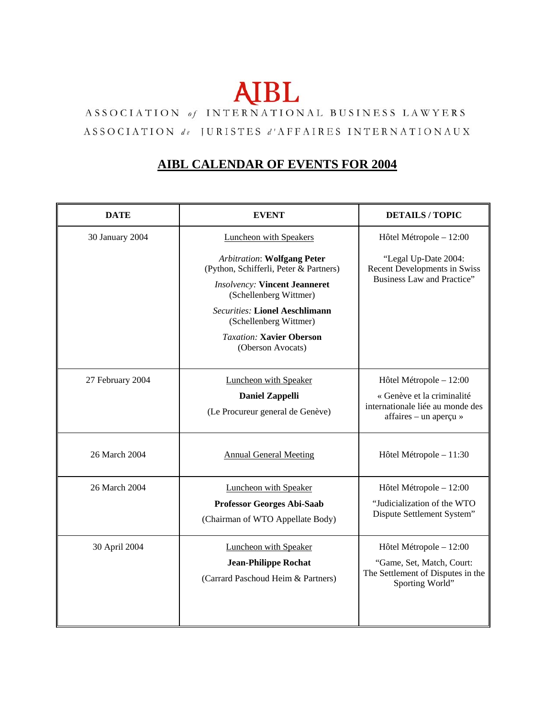## **AIBL**

## ASSOCIATION of INTERNATIONAL BUSINESS LAWYERS ASSOCIATION de JURISTES d'AFFAIRES INTERNATIONAUX

## **AIBL CALENDAR OF EVENTS FOR 2004**

| <b>DATE</b>      | <b>EVENT</b>                                                                                             | <b>DETAILS/TOPIC</b>                                                                                          |
|------------------|----------------------------------------------------------------------------------------------------------|---------------------------------------------------------------------------------------------------------------|
| 30 January 2004  | <b>Luncheon with Speakers</b><br><b>Arbitration: Wolfgang Peter</b>                                      | Hôtel Métropole - 12:00<br>"Legal Up-Date 2004:<br>Recent Developments in Swiss<br>Business Law and Practice" |
|                  | (Python, Schifferli, Peter & Partners)<br><b>Insolvency: Vincent Jeanneret</b><br>(Schellenberg Wittmer) |                                                                                                               |
|                  | <b>Securities: Lionel Aeschlimann</b><br>(Schellenberg Wittmer)                                          |                                                                                                               |
|                  | <b>Taxation: Xavier Oberson</b><br>(Oberson Avocats)                                                     |                                                                                                               |
| 27 February 2004 | <b>Luncheon with Speaker</b>                                                                             | Hôtel Métropole - 12:00                                                                                       |
|                  | <b>Daniel Zappelli</b><br>(Le Procureur general de Genève)                                               | « Genève et la criminalité<br>internationale liée au monde des                                                |
|                  |                                                                                                          | affaires – un aperçu »                                                                                        |
| 26 March 2004    | <b>Annual General Meeting</b>                                                                            | Hôtel Métropole - 11:30                                                                                       |
| 26 March 2004    | Luncheon with Speaker                                                                                    | Hôtel Métropole - 12:00                                                                                       |
|                  | <b>Professor Georges Abi-Saab</b>                                                                        | "Judicialization of the WTO<br>Dispute Settlement System"                                                     |
|                  | (Chairman of WTO Appellate Body)                                                                         |                                                                                                               |
| 30 April 2004    | <b>Luncheon with Speaker</b>                                                                             | Hôtel Métropole - 12:00                                                                                       |
|                  | <b>Jean-Philippe Rochat</b><br>(Carrard Paschoud Heim & Partners)                                        | "Game, Set, Match, Court:<br>The Settlement of Disputes in the<br>Sporting World"                             |
|                  |                                                                                                          |                                                                                                               |